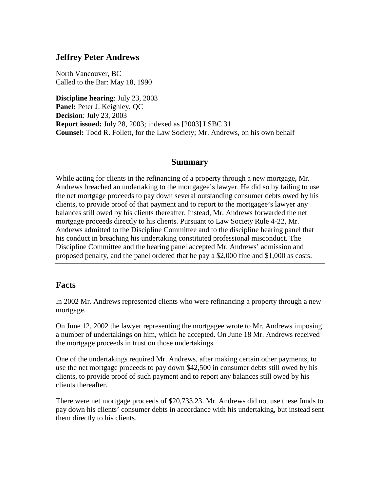## **Jeffrey Peter Andrews**

North Vancouver, BC Called to the Bar: May 18, 1990

**Discipline hearing**: July 23, 2003 **Panel:** Peter J. Keighley, QC **Decision**: July 23, 2003 **Report issued:** July 28, 2003; indexed as [2003] LSBC 31 **Counsel:** Todd R. Follett, for the Law Society; Mr. Andrews, on his own behalf

## **Summary**

While acting for clients in the refinancing of a property through a new mortgage, Mr. Andrews breached an undertaking to the mortgagee's lawyer. He did so by failing to use the net mortgage proceeds to pay down several outstanding consumer debts owed by his clients, to provide proof of that payment and to report to the mortgagee's lawyer any balances still owed by his clients thereafter. Instead, Mr. Andrews forwarded the net mortgage proceeds directly to his clients. Pursuant to Law Society Rule 4-22, Mr. Andrews admitted to the Discipline Committee and to the discipline hearing panel that his conduct in breaching his undertaking constituted professional misconduct. The Discipline Committee and the hearing panel accepted Mr. Andrews' admission and proposed penalty, and the panel ordered that he pay a \$2,000 fine and \$1,000 as costs.

## **Facts**

In 2002 Mr. Andrews represented clients who were refinancing a property through a new mortgage.

On June 12, 2002 the lawyer representing the mortgagee wrote to Mr. Andrews imposing a number of undertakings on him, which he accepted. On June 18 Mr. Andrews received the mortgage proceeds in trust on those undertakings.

One of the undertakings required Mr. Andrews, after making certain other payments, to use the net mortgage proceeds to pay down \$42,500 in consumer debts still owed by his clients, to provide proof of such payment and to report any balances still owed by his clients thereafter.

There were net mortgage proceeds of \$20,733.23. Mr. Andrews did not use these funds to pay down his clients' consumer debts in accordance with his undertaking, but instead sent them directly to his clients.